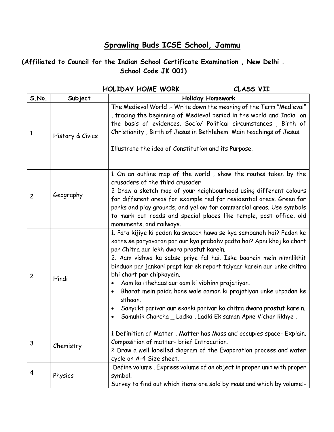## **Sprawling Buds ICSE School, Jammu**

## **(Affiliated to Council for the Indian School Certificate Examination , New Delhi . School Code JK 001)**

|                |                  | <b>HOLIDAY HOME WORK</b><br>CLASS VII                                                                                                                                                                                                                                                                                                                                                                                                                                                                                                                                                                                                                     |
|----------------|------------------|-----------------------------------------------------------------------------------------------------------------------------------------------------------------------------------------------------------------------------------------------------------------------------------------------------------------------------------------------------------------------------------------------------------------------------------------------------------------------------------------------------------------------------------------------------------------------------------------------------------------------------------------------------------|
| S.No.          | Subject          | <b>Holiday Homework</b>                                                                                                                                                                                                                                                                                                                                                                                                                                                                                                                                                                                                                                   |
| 1              | History & Civics | The Medieval World :- Write down the meaning of the Term "Medieval"<br>, tracing the beginning of Medieval period in the world and India on<br>the basis of evidences. Socio/ Political circumstances, Birth of<br>Christianity, Birth of Jesus in Bethlehem. Main teachings of Jesus.<br>Illustrate the idea of Constitution and its Purpose.                                                                                                                                                                                                                                                                                                            |
| $\overline{c}$ | Geography        | 1 On an outline map of the world, show the routes taken by the<br>crusaders of the third crusader<br>2 Draw a sketch map of your neighbourhood using different colours<br>for different areas for example red for residential areas. Green for<br>parks and play grounds, and yellow for commercial areas. Use symbols<br>to mark out roads and special places like temple, post office, old<br>monuments, and railways.                                                                                                                                                                                                                                  |
| $\overline{c}$ | Hindi            | 1. Pata kijiye ki pedon ka swacch hawa se kya sambandh hai? Pedon ke<br>katne se paryavaran par aur kya prabahv padta hai? Apni khoj ko chart<br>par Chitra aur lekh dwara prastut karein.<br>2. Aam vishwa ka sabse priye fal hai. Iske baarein mein nimnlikhit<br>binduon par jankari prapt kar ek report taiyaar karein aur unke chitra<br>bhi chart par chipkayein.<br>Aam ka ithehaas aur aam ki vibhinn prajatiyan.<br>Bharat mein paida hone wale aamon ki prajatiyan unke utpadan ke<br>sthaan.<br>Sanyukt parivar aur ekanki parivar ko chitra dwara prastut karein.<br>Samuhik Charcha _ Ladka, Ladki Ek saman Apne Vichar likhye.<br>$\bullet$ |
| 3              | Chemistry        | 1 Definition of Matter. Matter has Mass and occupies space- Explain.<br>Composition of matter- brief Introcution.<br>2 Draw a well labelled diagram of the Evaporation process and water<br>cycle on A-4 Size sheet.                                                                                                                                                                                                                                                                                                                                                                                                                                      |
| 4              | Physics          | Define volume. Express volume of an object in proper unit with proper<br>symbol.<br>Survey to find out which items are sold by mass and which by volume:-                                                                                                                                                                                                                                                                                                                                                                                                                                                                                                 |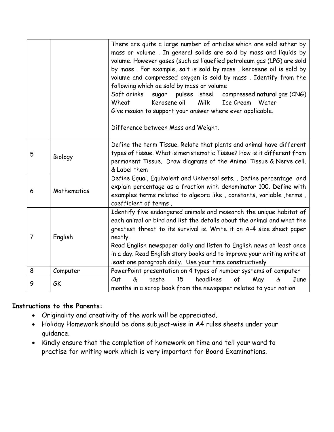|                |             | There are quite a large number of articles which are sold either by<br>mass or volume. In general soilds are sold by mass and liquids by<br>volume. However gases (such as liquefied petroleum gas (LPG) are sold<br>by mass. For example, salt is sold by mass, kerosene oil is sold by<br>volume and compressed oxygen is sold by mass. Identify from the<br>following which ae sold by mass or volume<br>Soft drinks<br>pulses steel compressed natural gas (CNG)<br>sugar<br>Kerosene oil<br>Milk<br>Ice Cream<br>Wheat<br>Water<br>Give reason to support your answer where ever applicable.<br>Difference between Mass and Weight. |
|----------------|-------------|------------------------------------------------------------------------------------------------------------------------------------------------------------------------------------------------------------------------------------------------------------------------------------------------------------------------------------------------------------------------------------------------------------------------------------------------------------------------------------------------------------------------------------------------------------------------------------------------------------------------------------------|
| 5              | Biology     | Define the term Tissue. Relate that plants and animal have different<br>types of tissue. What is meristematic Tissue? How is it different from<br>permanent Tissue. Draw diagrams of the Animal Tissue & Nerve cell.<br>& Label them                                                                                                                                                                                                                                                                                                                                                                                                     |
| 6              | Mathematics | Define Equal, Equivalent and Universal sets. . Define percentage and<br>explain percentage as a fraction with denominator 100. Define with<br>examples terms related to algebra like, constants, variable, terms,<br>coefficient of terms.                                                                                                                                                                                                                                                                                                                                                                                               |
| $\overline{7}$ | English     | Identify five endangered animals and research the unique habitat of<br>each animal or bird and list the details about the animal and what the<br>greatest threat to its survival is. Write it on A-4 size sheet paper<br>neatly.<br>Read English newspaper daily and listen to English news at least once<br>in a day. Read English story books and to improve your writing write at<br>least one paragraph daily. Use your time constructively                                                                                                                                                                                          |
| 8              | Computer    | PowerPoint presentation on 4 types of number systems of computer                                                                                                                                                                                                                                                                                                                                                                                                                                                                                                                                                                         |
| 9              | GK          | headlines<br>$\mathcal{C}$ ut<br>paste<br>15<br>of<br>May<br>June<br>ፊ<br>&<br>months in a scrap book from the newspaper related to your nation                                                                                                                                                                                                                                                                                                                                                                                                                                                                                          |

## **Instructions to the Parents:**

- Originality and creativity of the work will be appreciated.
- Holiday Homework should be done subject-wise in A4 rules sheets under your guidance.
- Kindly ensure that the completion of homework on time and tell your ward to practise for writing work which is very important for Board Examinations.